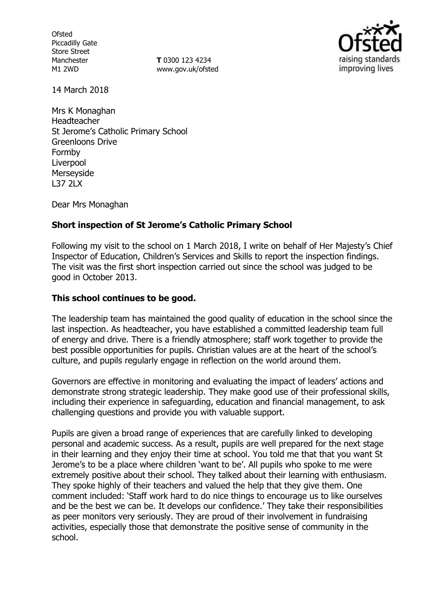**Ofsted** Piccadilly Gate Store Street Manchester M1 2WD

**T** 0300 123 4234 www.gov.uk/ofsted



14 March 2018

Mrs K Monaghan Headteacher St Jerome's Catholic Primary School Greenloons Drive Formby Liverpool Merseyside L37 2LX

Dear Mrs Monaghan

### **Short inspection of St Jerome's Catholic Primary School**

Following my visit to the school on 1 March 2018, I write on behalf of Her Majesty's Chief Inspector of Education, Children's Services and Skills to report the inspection findings. The visit was the first short inspection carried out since the school was judged to be good in October 2013.

### **This school continues to be good.**

The leadership team has maintained the good quality of education in the school since the last inspection. As headteacher, you have established a committed leadership team full of energy and drive. There is a friendly atmosphere; staff work together to provide the best possible opportunities for pupils. Christian values are at the heart of the school's culture, and pupils regularly engage in reflection on the world around them.

Governors are effective in monitoring and evaluating the impact of leaders' actions and demonstrate strong strategic leadership. They make good use of their professional skills, including their experience in safeguarding, education and financial management, to ask challenging questions and provide you with valuable support.

Pupils are given a broad range of experiences that are carefully linked to developing personal and academic success. As a result, pupils are well prepared for the next stage in their learning and they enjoy their time at school. You told me that that you want St Jerome's to be a place where children 'want to be'. All pupils who spoke to me were extremely positive about their school. They talked about their learning with enthusiasm. They spoke highly of their teachers and valued the help that they give them. One comment included: 'Staff work hard to do nice things to encourage us to like ourselves and be the best we can be. It develops our confidence.' They take their responsibilities as peer monitors very seriously. They are proud of their involvement in fundraising activities, especially those that demonstrate the positive sense of community in the school.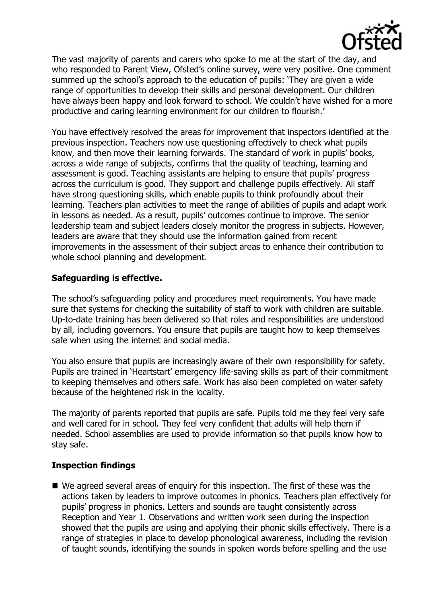

The vast majority of parents and carers who spoke to me at the start of the day, and who responded to Parent View, Ofsted's online survey, were very positive. One comment summed up the school's approach to the education of pupils: 'They are given a wide range of opportunities to develop their skills and personal development. Our children have always been happy and look forward to school. We couldn't have wished for a more productive and caring learning environment for our children to flourish.'

You have effectively resolved the areas for improvement that inspectors identified at the previous inspection. Teachers now use questioning effectively to check what pupils know, and then move their learning forwards. The standard of work in pupils' books, across a wide range of subjects, confirms that the quality of teaching, learning and assessment is good. Teaching assistants are helping to ensure that pupils' progress across the curriculum is good. They support and challenge pupils effectively. All staff have strong questioning skills, which enable pupils to think profoundly about their learning. Teachers plan activities to meet the range of abilities of pupils and adapt work in lessons as needed. As a result, pupils' outcomes continue to improve. The senior leadership team and subject leaders closely monitor the progress in subjects. However, leaders are aware that they should use the information gained from recent improvements in the assessment of their subject areas to enhance their contribution to whole school planning and development.

# **Safeguarding is effective.**

The school's safeguarding policy and procedures meet requirements. You have made sure that systems for checking the suitability of staff to work with children are suitable. Up-to-date training has been delivered so that roles and responsibilities are understood by all, including governors. You ensure that pupils are taught how to keep themselves safe when using the internet and social media.

You also ensure that pupils are increasingly aware of their own responsibility for safety. Pupils are trained in 'Heartstart' emergency life-saving skills as part of their commitment to keeping themselves and others safe. Work has also been completed on water safety because of the heightened risk in the locality.

The majority of parents reported that pupils are safe. Pupils told me they feel very safe and well cared for in school. They feel very confident that adults will help them if needed. School assemblies are used to provide information so that pupils know how to stay safe.

# **Inspection findings**

 We agreed several areas of enquiry for this inspection. The first of these was the actions taken by leaders to improve outcomes in phonics. Teachers plan effectively for pupils' progress in phonics. Letters and sounds are taught consistently across Reception and Year 1. Observations and written work seen during the inspection showed that the pupils are using and applying their phonic skills effectively. There is a range of strategies in place to develop phonological awareness, including the revision of taught sounds, identifying the sounds in spoken words before spelling and the use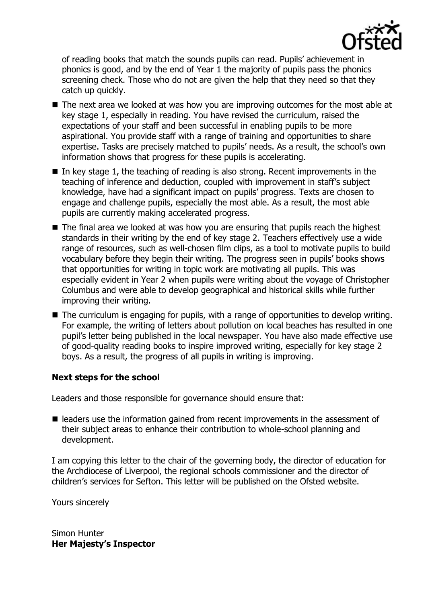

of reading books that match the sounds pupils can read. Pupils' achievement in phonics is good, and by the end of Year 1 the majority of pupils pass the phonics screening check. Those who do not are given the help that they need so that they catch up quickly.

- The next area we looked at was how you are improving outcomes for the most able at key stage 1, especially in reading. You have revised the curriculum, raised the expectations of your staff and been successful in enabling pupils to be more aspirational. You provide staff with a range of training and opportunities to share expertise. Tasks are precisely matched to pupils' needs. As a result, the school's own information shows that progress for these pupils is accelerating.
- In key stage 1, the teaching of reading is also strong. Recent improvements in the teaching of inference and deduction, coupled with improvement in staff's subject knowledge, have had a significant impact on pupils' progress. Texts are chosen to engage and challenge pupils, especially the most able. As a result, the most able pupils are currently making accelerated progress.
- The final area we looked at was how you are ensuring that pupils reach the highest standards in their writing by the end of key stage 2. Teachers effectively use a wide range of resources, such as well-chosen film clips, as a tool to motivate pupils to build vocabulary before they begin their writing. The progress seen in pupils' books shows that opportunities for writing in topic work are motivating all pupils. This was especially evident in Year 2 when pupils were writing about the voyage of Christopher Columbus and were able to develop geographical and historical skills while further improving their writing.
- The curriculum is engaging for pupils, with a range of opportunities to develop writing. For example, the writing of letters about pollution on local beaches has resulted in one pupil's letter being published in the local newspaper. You have also made effective use of good-quality reading books to inspire improved writing, especially for key stage 2 boys. As a result, the progress of all pupils in writing is improving.

# **Next steps for the school**

Leaders and those responsible for governance should ensure that:

■ leaders use the information gained from recent improvements in the assessment of their subject areas to enhance their contribution to whole-school planning and development.

I am copying this letter to the chair of the governing body, the director of education for the Archdiocese of Liverpool, the regional schools commissioner and the director of children's services for Sefton. This letter will be published on the Ofsted website.

Yours sincerely

Simon Hunter **Her Majesty's Inspector**